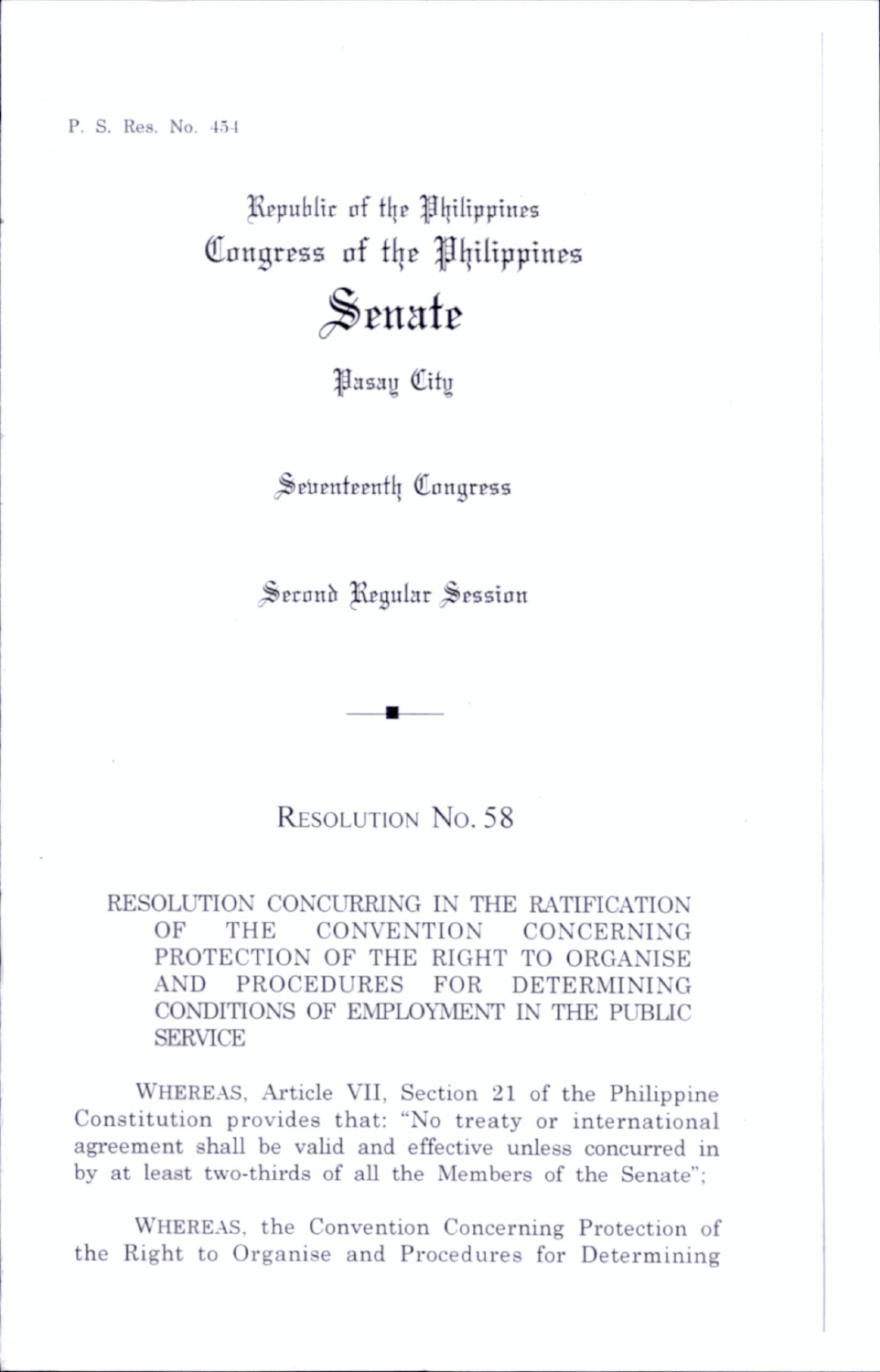P. S. Res. No. 151

Republic of the Philippines Congress of the Philippines

## Senate

**Hasay** City

Seventeenth Congress

Second Regular Session

## RESOLUTION No. 58

RESOLUTION CONCURRING IN THE RATIFICATION OF THE CONVENTION CONCERNING PROTECTION OF THE RIGHT TO ORGANISE AND PROCEDURES FOR DETERMINING CONDITIONS OF EMPLOYMENT IN THE PUBUC SERVICE

Whereas, Article VII, Section 21 of the Philippine Constitution provides that: "No treaty or international agreement shall be valid and effective unless concurred in by at least two-thirds of all the Members of the Senate";

WHEREAS, the Convention Concerning Protection of the Right to Organise and Procedures for Determining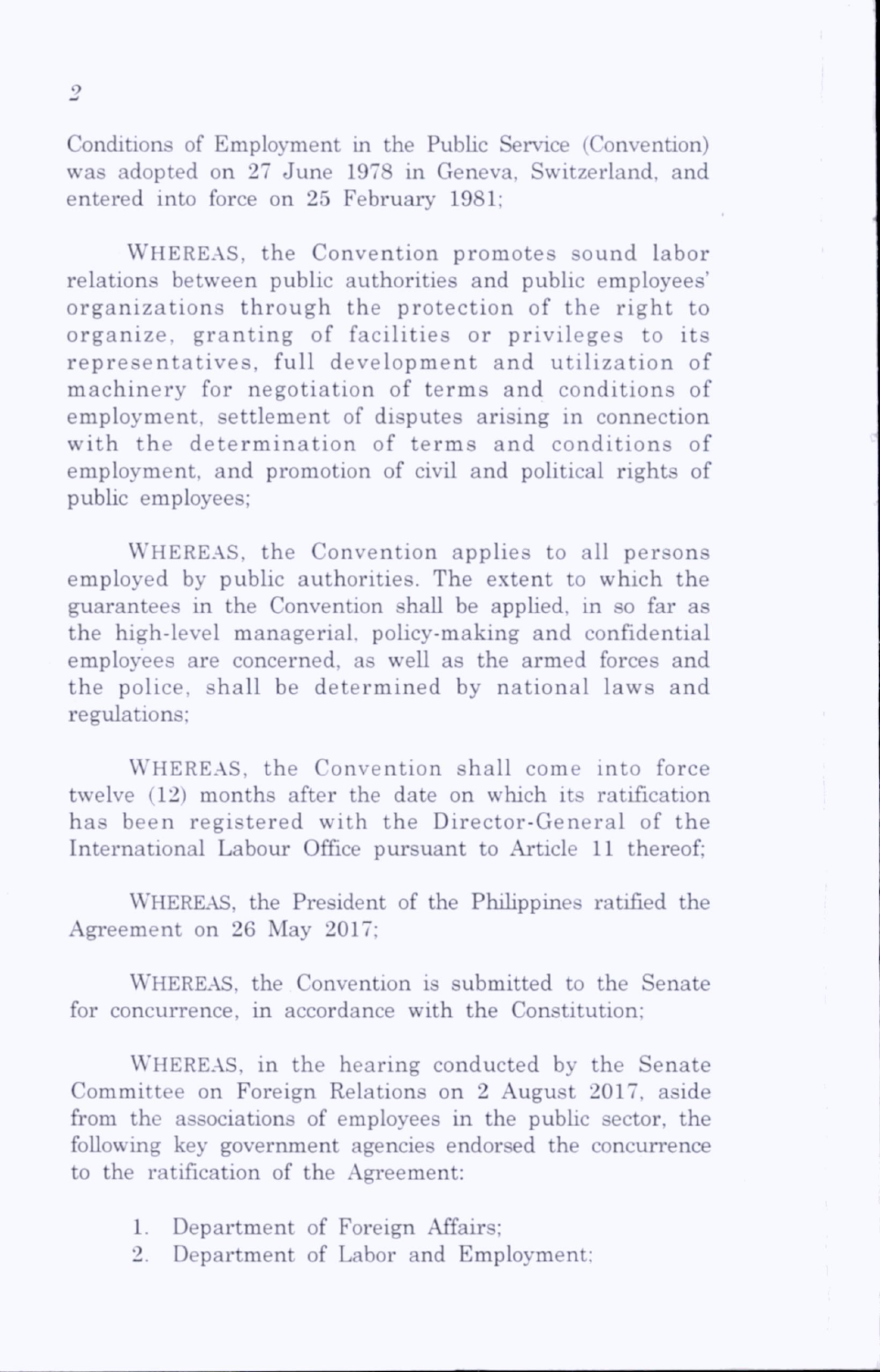Conditions of Employment in the Public Service (Convention) was adopted on 27 June 1978 in Geneva, Switzerland, and entered into force on 25 February 1981;

WHEREAS, the Convention promotes sound labor relations between public authorities and public employees' organizations through the protection of the right to organize, granting of facilities or privileges to its representatives, full development and utilization of machinery for negotiation of terms and conditions of employment, settlement of disputes arising in connection with the determination of terms and conditions of employment, and promotion of civil and political rights of public employees;

WHEREAS, the Convention applies to all persons employed by public authorities. The extent to which the guarantees in the Convention shall be apphed, in so far as the high-level managerial, policy-making and confidential employees are concerned, as well as the armed forces and the police, shall be determined by national laws and regulations;

WHEREAS, the Convention shall come into force twelve (12) months after the date on which its ratification has been registered with the Director-General of the International Labour Office pursuant to Article 11 thereof;

WHEREAS, the President of the Philippines ratified the Agreement on 26 May 2017;

WHEREAS, the Convention is submitted to the Senate for concurrence, in accordance with the Constitution;

WHEREAS, in the hearing conducted by the Senate Committee on Foreign Relations on 2 August 2017, aside from the associations of employees in the public sector, the following key government agencies endorsed the concurrence to the ratification of the Agreement:

- 1. Department of Foreign Affairs;
- 2. Department of Labor and Employment;